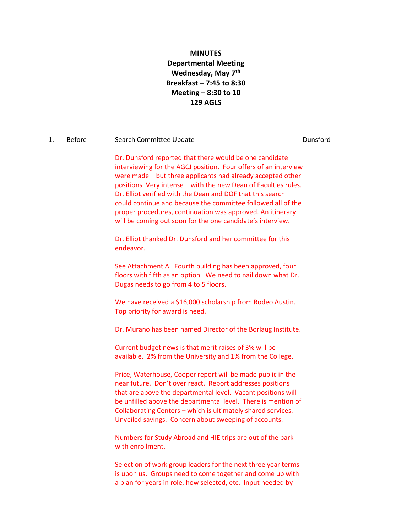# **MINUTES Departmental Meeting Wednesday, May 7th Breakfast – 7:45 to 8:30 Meeting – 8:30 to 10 129 AGLS**

#### 1. Before Search Committee Update **Search Committee Update Communities Constant Constant Constant Constant**

Dr. Dunsford reported that there would be one candidate interviewing for the AGCJ position. Four offers of an interview were made – but three applicants had already accepted other positions. Very intense – with the new Dean of Faculties rules. Dr. Elliot verified with the Dean and DOF that this search could continue and because the committee followed all of the proper procedures, continuation was approved. An itinerary will be coming out soon for the one candidate's interview.

Dr. Elliot thanked Dr. Dunsford and her committee for this endeavor.

See Attachment A. Fourth building has been approved, four floors with fifth as an option. We need to nail down what Dr. Dugas needs to go from 4 to 5 floors.

We have received a \$16,000 scholarship from Rodeo Austin. Top priority for award is need.

Dr. Murano has been named Director of the Borlaug Institute.

Current budget news is that merit raises of 3% will be available. 2% from the University and 1% from the College.

Price, Waterhouse, Cooper report will be made public in the near future. Don't over react. Report addresses positions that are above the departmental level. Vacant positions will be unfilled above the departmental level. There is mention of Collaborating Centers – which is ultimately shared services. Unveiled savings. Concern about sweeping of accounts.

Numbers for Study Abroad and HIE trips are out of the park with enrollment.

Selection of work group leaders for the next three year terms is upon us. Groups need to come together and come up with a plan for years in role, how selected, etc. Input needed by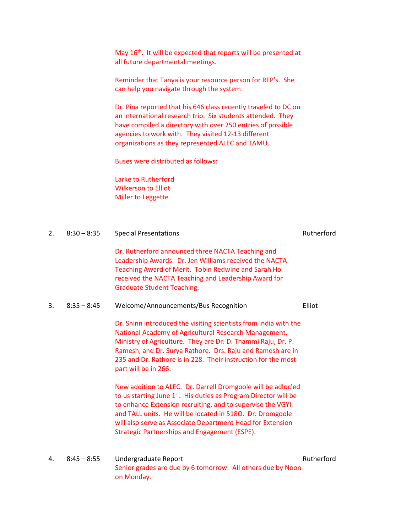May 16<sup>th</sup>. It will be expected that reports will be presented at all future departmental meetings.

Reminder that Tanya is your resource person for RFP's. She can help you navigate through the system.

Dr. Pina reported that his 646 class recently traveled to DC on an international research trip. Six students attended. They have compiled a directory with over 250 entries of possible agencies to work with. They visited 12-13 different organizations as they represented ALEC and TAMU.

Buses were distributed as follows:

Larke to Rutherford Wilkerson to Elliot Miller to Leggette

on Monday.

| 2. | $8:30 - 8:35$ | <b>Special Presentations</b>                                                                                                                                                                                                                                                                                                                                                                  | Rutherford |
|----|---------------|-----------------------------------------------------------------------------------------------------------------------------------------------------------------------------------------------------------------------------------------------------------------------------------------------------------------------------------------------------------------------------------------------|------------|
|    |               | Dr. Rutherford announced three NACTA Teaching and<br>Leadership Awards. Dr. Jen Williams received the NACTA<br>Teaching Award of Merit. Tobin Redwine and Sarah Ho<br>received the NACTA Teaching and Leadership Award for<br><b>Graduate Student Teaching.</b>                                                                                                                               |            |
| 3. | $8:35 - 8:45$ | Welcome/Announcements/Bus Recognition                                                                                                                                                                                                                                                                                                                                                         | Elliot     |
|    |               | Dr. Shinn introduced the visiting scientists from India with the<br>National Academy of Agricultural Research Management,<br>Ministry of Agriculture. They are Dr. D. Thammi Raju, Dr. P.<br>Ramesh, and Dr. Surya Rathore. Drs. Raju and Ramesh are in<br>235 and Dr. Rathore is in 228. Their instruction for the most<br>part will be in 266.                                              |            |
|    |               | New addition to ALEC. Dr. Darrell Dromgoole will be adloc'ed<br>to us starting June 1 <sup>st</sup> . His duties as Program Director will be<br>to enhance Extension recruiting, and to supervise the VGYI<br>and TALL units. He will be located in 5180. Dr. Dromgoole<br>will also serve as Associate Department Head for Extension<br><b>Strategic Partnerships and Engagement (ESPE).</b> |            |
| 4. | $8:45 - 8:55$ | Undergraduate Report<br>Senior grades are due by 6 tomorrow. All others due by Noon                                                                                                                                                                                                                                                                                                           | Rutherford |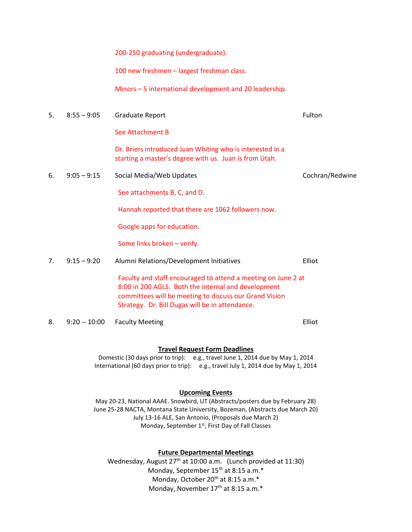200-250 graduating (undergraduate).

100 new freshmen – largest freshman class.

Minors – 5 international development and 20 leadership.

5. 8:55 – 9:05 Graduate Report Fulton Contract Contract Contract Contract Contract Contract Contract Contract Contract Contract Contract Contract Contract Contract Contract Contract Contract Contract Contract Contract Cont

See Attachment B

Dr. Briers introduced Juan Whiting who is interested in a starting a master's degree with us. Juan is from Utah.

6. 9:05 – 9:15 Social Media/Web Updates Cochran/Redwine

See attachments B, C, and D.

Hannah reported that there are 1062 followers now.

Google apps for education.

Some links broken – verify.

- 7. 9:15 9:20 Alumni Relations/Development Initiatives Elliot Faculty and staff encouraged to attend a meeting on June 2 at 8:00 in 200 AGLS. Both the internal and development committees will be meeting to discuss our Grand Vision Strategy. Dr. Bill Dugas will be in attendance.
- 8. 9:20 -- 10:00 Faculty Meeting **Elliot** Elliot

#### **Travel Request Form Deadlines**

Domestic (30 days prior to trip): e.g., travel June 1, 2014 due by May 1, 2014 International (60 days prior to trip): e.g., travel July 1, 2014 due by May 1, 2014

#### **Upcoming Events**

May 20-23, National AAAE. Snowbird, UT (Abstracts/posters due by February 28) June 25-28 NACTA, Montana State University, Bozeman, (Abstracts due March 20) July 13-16 ALE, San Antonio, (Proposals due March 2) Monday, September 1<sup>st</sup>, First Day of Fall Classes

#### **Future Departmental Meetings**

Wednesday, August 27<sup>th</sup> at 10:00 a.m. (Lunch provided at 11:30) Monday, September 15<sup>th</sup> at 8:15 a.m.\* Monday, October 20<sup>th</sup> at 8:15 a.m.\* Monday, November 17<sup>th</sup> at 8:15 a.m.\*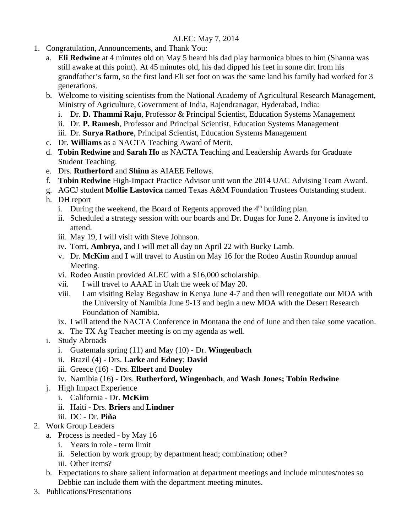# ALEC: May 7, 2014

- 1. Congratulation, Announcements, and Thank You:
	- a. **Eli Redwine** at 4 minutes old on May 5 heard his dad play harmonica blues to him (Shanna was still awake at this point). At 45 minutes old, his dad dipped his feet in some dirt from his grandfather's farm, so the first land Eli set foot on was the same land his family had worked for 3 generations.
	- b. Welcome to visiting scientists from the National Academy of Agricultural Research Management, Ministry of Agriculture, Government of India, Rajendranagar, Hyderabad, India:
		- i. Dr. **D. Thammi Raju**, Professor & Principal Scientist, Education Systems Management
		- ii. Dr. **P. Ramesh**, Professor and Principal Scientist, Education Systems Management
		- iii. Dr. **Surya Rathore**, Principal Scientist, Education Systems Management
	- c. Dr. **Williams** as a NACTA Teaching Award of Merit.
	- d. **Tobin Redwine** and **Sarah Ho** as NACTA Teaching and Leadership Awards for Graduate Student Teaching.
	- e. Drs. **Rutherford** and **Shinn** as AIAEE Fellows.
	- f. **Tobin Redwine** High-Impact Practice Advisor unit won the 2014 UAC Advising Team Award.
	- g. AGCJ student **Mollie Lastovica** named Texas A&M Foundation Trustees Outstanding student.
	- h. DH report
		- i. During the weekend, the Board of Regents approved the  $4<sup>th</sup>$  building plan.
		- ii. Scheduled a strategy session with our boards and Dr. Dugas for June 2. Anyone is invited to attend.
		- iii. May 19, I will visit with Steve Johnson.
		- iv. Torri, **Ambrya**, and I will met all day on April 22 with Bucky Lamb.
		- v. Dr. **McKim** and **I** will travel to Austin on May 16 for the Rodeo Austin Roundup annual Meeting.
		- vi. Rodeo Austin provided ALEC with a \$16,000 scholarship.
		- vii. I will travel to AAAE in Utah the week of May 20.
		- viii. I am visiting Belay Begashaw in Kenya June 4-7 and then will renegotiate our MOA with the University of Namibia June 9-13 and begin a new MOA with the Desert Research Foundation of Namibia.
		- ix. I will attend the NACTA Conference in Montana the end of June and then take some vacation.
		- x. The TX Ag Teacher meeting is on my agenda as well.
	- i. Study Abroads
		- i. Guatemala spring (11) and May (10) Dr. **Wingenbach**
		- ii. Brazil (4) Drs. **Larke** and **Edney**; **David**
		- iii. Greece (16) Drs. **Elbert** and **Dooley**
		- iv. Namibia (16) Drs. **Rutherford, Wingenbach**, and **Wash Jones; Tobin Redwine**
	- j. High Impact Experience
		- i. California Dr. **McKim**
		- ii. Haiti Drs. **Briers** and **Lindner**
		- iii. DC Dr. **Piña**
- 2. Work Group Leaders
	- a. Process is needed by May 16
		- i. Years in role term limit
		- ii. Selection by work group; by department head; combination; other?
		- iii. Other items?
	- b. Expectations to share salient information at department meetings and include minutes/notes so Debbie can include them with the department meeting minutes.
- 3. Publications/Presentations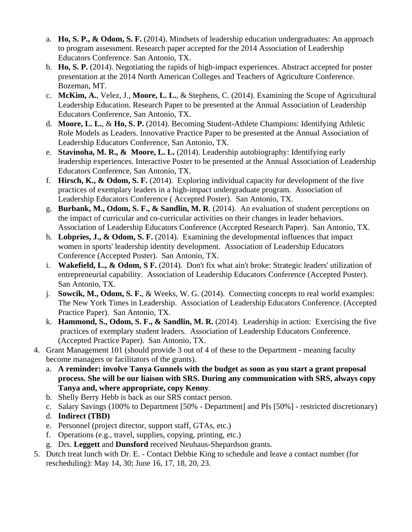- a. **Ho, S. P., & Odom, S. F.** (2014). Mindsets of leadership education undergraduates: An approach to program assessment. Research paper accepted for the 2014 Association of Leadership Educators Conference. San Antonio, TX.
- b. **Ho, S. P.** (2014). Negotiating the rapids of high-impact experiences. Abstract accepted for poster presentation at the 2014 North American Colleges and Teachers of Agriculture Conference. Bozeman, MT.
- c. **McKim, A.**, Velez, J., **Moore, L. L.**, & Stephens, C. (2014). Examining the Scope of Agricultural Leadership Education. Research Paper to be presented at the Annual Association of Leadership Educators Conference, San Antonio, TX.
- d. **Moore, L. L.**, & **Ho, S. P.** (2014). Becoming Student-Athlete Champions: Identifying Athletic Role Models as Leaders. Innovative Practice Paper to be presented at the Annual Association of Leadership Educators Conference, San Antonio, TX.
- e. **Stavinoha, M. R., & Moore, L. L.** (2014). Leadership autobiography: Identifying early leadership experiences. Interactive Poster to be presented at the Annual Association of Leadership Educators Conference, San Antonio, TX.
- f. **Hirsch, K., & Odom, S. F.** (2014). Exploring individual capacity for development of the five practices of exemplary leaders in a high-impact undergraduate program. Association of Leadership Educators Conference ( Accepted Poster). San Antonio, TX.
- g. **Burbank, M., Odom, S. F., & Sandlin, M. R**. (2014). An evaluation of student perceptions on the impact of curricular and co-curricular activities on their changes in leader behaviors. Association of Leadership Educators Conference (Accepted Research Paper). San Antonio, TX.
- h. **Lobpries, J., & Odom, S. F.** (2014). Examining the developmental influences that impact women in sports' leadership identity development. Association of Leadership Educators Conference (Accepted Poster). San Antonio, TX.
- i. **Wakefield, L., & Odom, S F.** (2014). Don't fix what ain't broke: Strategic leaders' utilization of entrepreneurial capability. Association of Leadership Educators Conference (Accepted Poster). San Antonio, TX.
- j. **Sowcik, M., Odom, S. F.**, & Weeks, W. G. (2014). Connecting concepts to real world examples: The New York Times in Leadership. Association of Leadership Educators Conference. (Accepted Practice Paper). San Antonio, TX.
- k. **Hammond, S., Odom, S. F., & Sandlin, M. R.** (2014). Leadership in action: Exercising the five practices of exemplary student leaders. Association of Leadership Educators Conference. (Accepted Practice Paper). San Antonio, TX.
- 4. Grant Management 101 (should provide 3 out of 4 of these to the Department meaning faculty become managers or facilitators of the grants).
	- a. **A reminder: involve Tanya Gunnels with the budget as soon as you start a grant proposal process. She will be our liaison with SRS. During any communication with SRS, always copy Tanya and, where appropriate, copy Kenny**.
	- b. Shelly Berry Hebb is back as our SRS contact person.
	- c. Salary Savings (100% to Department [50% Department] and PIs [50%] restricted discretionary)
	- d. **Indirect (TBD)**
	- e. Personnel (project director, support staff, GTAs, etc.)
	- f. Operations (e.g., travel, supplies, copying, printing, etc.)
	- g. Drs. **Leggett** and **Dunsford** received Neuhaus-Shepardson grants.
- 5. Dutch treat lunch with Dr. E. Contact Debbie King to schedule and leave a contact number (for rescheduling): May 14, 30; June 16, 17, 18, 20, 23.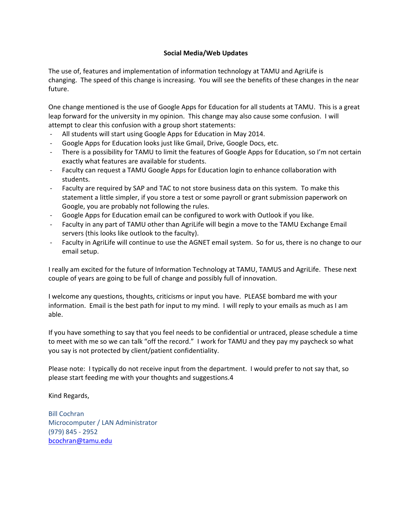## **Social Media/Web Updates**

The use of, features and implementation of information technology at TAMU and AgriLife is changing. The speed of this change is increasing. You will see the benefits of these changes in the near future.

One change mentioned is the use of Google Apps for Education for all students at TAMU. This is a great leap forward for the university in my opinion. This change may also cause some confusion. I will attempt to clear this confusion with a group short statements:

- ‐ All students will start using Google Apps for Education in May 2014.
- ‐ Google Apps for Education looks just like Gmail, Drive, Google Docs, etc.
- ‐ There is a possibility for TAMU to limit the features of Google Apps for Education, so I'm not certain exactly what features are available for students.
- ‐ Faculty can request a TAMU Google Apps for Education login to enhance collaboration with students.
- ‐ Faculty are required by SAP and TAC to not store business data on this system. To make this statement a little simpler, if you store a test or some payroll or grant submission paperwork on Google, you are probably not following the rules.
- ‐ Google Apps for Education email can be configured to work with Outlook if you like.
- ‐ Faculty in any part of TAMU other than AgriLife will begin a move to the TAMU Exchange Email servers (this looks like outlook to the faculty).
- Faculty in AgriLife will continue to use the AGNET email system. So for us, there is no change to our email setup.

I really am excited for the future of Information Technology at TAMU, TAMUS and AgriLife. These next couple of years are going to be full of change and possibly full of innovation.

I welcome any questions, thoughts, criticisms or input you have. PLEASE bombard me with your information. Email is the best path for input to my mind. I will reply to your emails as much as I am able.

If you have something to say that you feel needs to be confidential or untraced, please schedule a time to meet with me so we can talk "off the record." I work for TAMU and they pay my paycheck so what you say is not protected by client/patient confidentiality.

Please note: I typically do not receive input from the department. I would prefer to not say that, so please start feeding me with your thoughts and suggestions.4

Kind Regards,

Bill Cochran Microcomputer / LAN Administrator (979) 845 ‐ 2952 bcochran@tamu.edu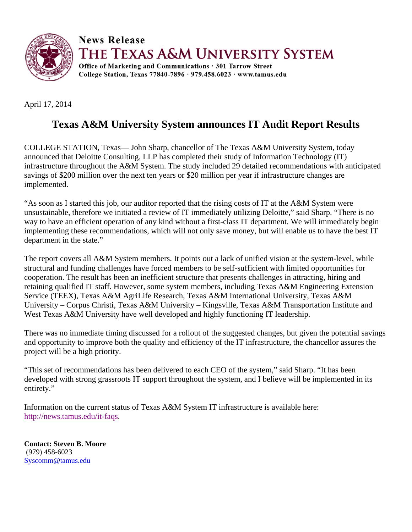

**News Release** 

THE TEXAS A&M UNIVERSITY SYSTEM

Office of Marketing and Communications · 301 Tarrow Street College Station, Texas 77840-7896 · 979.458.6023 · www.tamus.edu

April 17, 2014

# **Texas A&M University System announces IT Audit Report Results**

COLLEGE STATION, Texas— John Sharp, chancellor of The Texas A&M University System, today announced that Deloitte Consulting, LLP has completed their study of Information Technology (IT) infrastructure throughout the A&M System. The study included 29 detailed recommendations with anticipated savings of \$200 million over the next ten years or \$20 million per year if infrastructure changes are implemented.

"As soon as I started this job, our auditor reported that the rising costs of IT at the A&M System were unsustainable, therefore we initiated a review of IT immediately utilizing Deloitte," said Sharp. "There is no way to have an efficient operation of any kind without a first-class IT department. We will immediately begin implementing these recommendations, which will not only save money, but will enable us to have the best IT department in the state."

The report covers all A&M System members. It points out a lack of unified vision at the system-level, while structural and funding challenges have forced members to be self-sufficient with limited opportunities for cooperation. The result has been an inefficient structure that presents challenges in attracting, hiring and retaining qualified IT staff. However, some system members, including Texas A&M Engineering Extension Service (TEEX), Texas A&M AgriLife Research, Texas A&M International University, Texas A&M University – Corpus Christi, Texas A&M University – Kingsville, Texas A&M Transportation Institute and West Texas A&M University have well developed and highly functioning IT leadership.

There was no immediate timing discussed for a rollout of the suggested changes, but given the potential savings and opportunity to improve both the quality and efficiency of the IT infrastructure, the chancellor assures the project will be a high priority.

"This set of recommendations has been delivered to each CEO of the system," said Sharp. "It has been developed with strong grassroots IT support throughout the system, and I believe will be implemented in its entirety."

Information on the current status of Texas A&M System IT infrastructure is available here: http://news.tamus.edu/it-faqs.

**Contact: Steven B. Moore**  (979) 458-6023 Syscomm@tamus.edu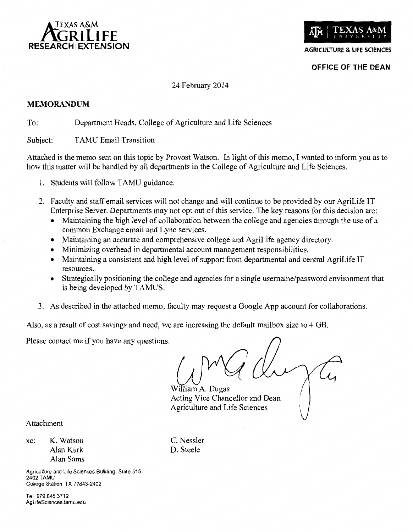



**AGRICULTURE & LIFE SCIENCES** 

OFFICE OF THE DEAN

## 24 February 2014

## **MEMORANDUM**

To: Department Heads, College of Agriculture and Life Sciences

Subject: **TAMU Email Transition** 

Attached is the memo sent on this topic by Provost Watson. In light of this memo, I wanted to inform you as to how this matter will be handled by all departments in the College of Agriculture and Life Sciences.

- 1. Students will follow TAMU guidance.
- 2. Faculty and staff email services will not change and will continue to be provided by our AgriLife IT Enterprise Server. Departments may not opt out of this service. The key reasons for this decision are:
	- Maintaining the high level of collaboration between the college and agencies through the use of a common Exchange email and Lync services.
	- Maintaining an accurate and comprehensive college and AgriLife agency directory.
	- Minimizing overhead in departmental account management responsibilities.
	- Maintaining a consistent and high level of support from departmental and central AgriLife IT resources.
	- Strategically positioning the college and agencies for a single username/password environment that is being developed by TAMUS.
- 3. As described in the attached memo, faculty may request a Google App account for collaborations.

Also, as a result of cost savings and need, we are increasing the default mailbox size to 4 GB.

Please contact me if you have any questions.

lliam A. Dugas Acting Vice Chancellor and Dean Agriculture and Life Sciences

Attachment

K. Watson xc: Alan Kurk Alan Sams C. Nessler D. Steele

Agriculture and Life Sciences Building, Suite 515 **2402 TAMU** College Station, TX 77843-2402

Tel. 979.845.3712 AgLifeSciences.tamu.edu